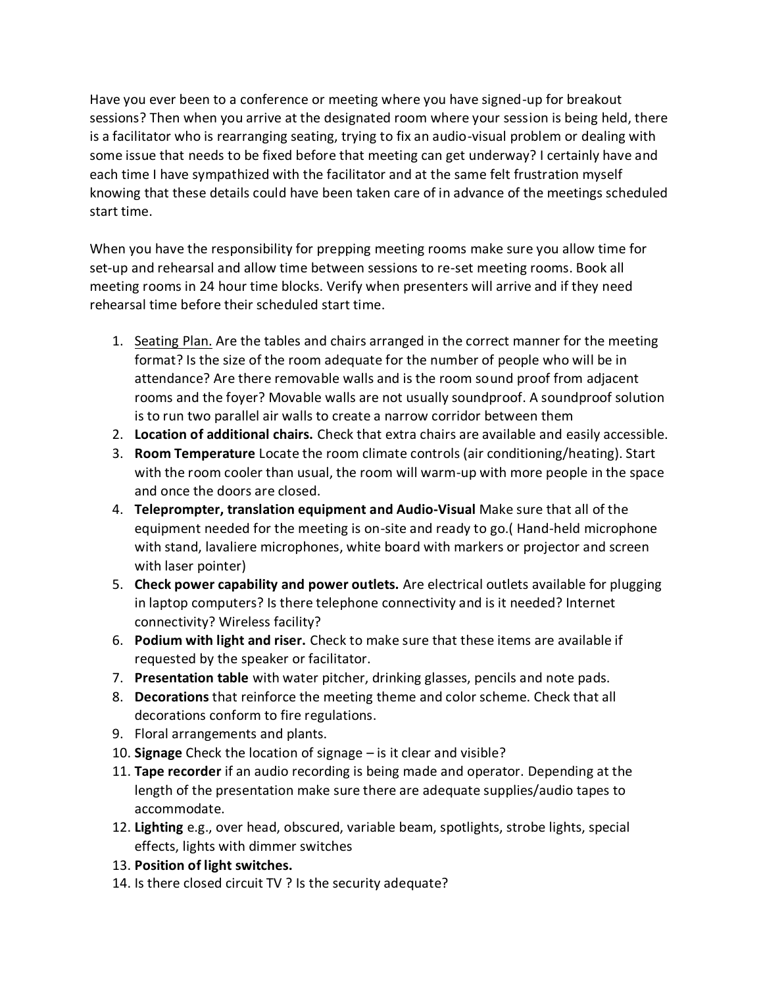Have you ever been to a conference or meeting where you have signed-up for breakout sessions? Then when you arrive at the designated room where your session is being held, there is a facilitator who is rearranging seating, trying to fix an audio-visual problem or dealing with some issue that needs to be fixed before that meeting can get underway? I certainly have and each time I have sympathized with the facilitator and at the same felt frustration myself knowing that these details could have been taken care of in advance of the meetings scheduled start time.

When you have the responsibility for prepping meeting rooms make sure you allow time for set-up and rehearsal and allow time between sessions to re-set meeting rooms. Book all meeting rooms in 24 hour time blocks. Verify when presenters will arrive and if they need rehearsal time before their scheduled start time.

- 1. [Seating Plan.](http://keynoteresource.com/GlossarySite.html#jx) Are the tables and chairs arranged in the correct manner for the meeting format? Is the size of the room adequate for the number of people who will be in attendance? Are there removable walls and is the room sound proof from adjacent rooms and the foyer? Movable walls are not usually soundproof. A soundproof solution is to run two parallel air walls to create a narrow corridor between them
- 2. **Location of additional chairs.** Check that extra chairs are available and easily accessible.
- 3. **Room Temperature** Locate the room climate controls (air conditioning/heating). Start with the room cooler than usual, the room will warm-up with more people in the space and once the doors are closed.
- 4. **Teleprompter, translation equipment and Audio-Visual** Make sure that all of the equipment needed for the meeting is on-site and ready to go.( Hand-held microphone with stand, lavaliere microphones, white board with markers or projector and screen with laser pointer)
- 5. **Check power capability and power outlets.** Are electrical outlets available for plugging in laptop computers? Is there telephone connectivity and is it needed? Internet connectivity? Wireless facility?
- 6. **Podium with light and riser.** Check to make sure that these items are available if requested by the speaker or facilitator.
- 7. **Presentation table** with water pitcher, drinking glasses, pencils and note pads.
- 8. **Decorations** that reinforce the meeting theme and color scheme. Check that all decorations conform to fire regulations.
- 9. Floral arrangements and plants.
- 10. **Signage** Check the location of signage is it clear and visible?
- 11. **Tape recorder** if an audio recording is being made and operator. Depending at the length of the presentation make sure there are adequate supplies/audio tapes to accommodate.
- 12. **Lighting** e.g., over head, obscured, variable beam, spotlights, strobe lights, special effects, lights with dimmer switches
- 13. **Position of light switches.**
- 14. Is there closed circuit TV ? Is the security adequate?